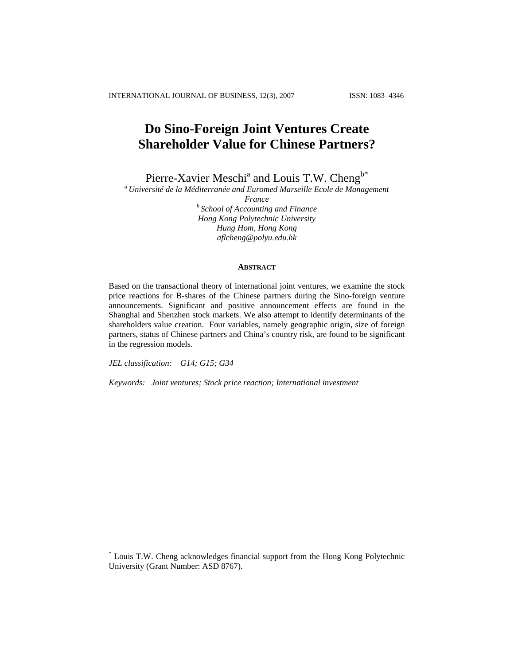INTERNATIONAL JOURNAL OF BUSINESS, 12(3), 2007 ISSN: 1083−4346

# **Do Sino-Foreign Joint Ventures Create Shareholder Value for Chinese Partners?**

Pierre-Xavier Meschi<sup>a</sup> and Louis T.W. Cheng<sup>b\*</sup>

*a Université de la Méditerranée and Euromed Marseille Ecole de Management* 

*France b School of Accounting and Finance Hong Kong Polytechnic University Hung Hom, Hong Kong aflcheng@polyu.edu.hk* 

#### **ABSTRACT**

Based on the transactional theory of international joint ventures, we examine the stock price reactions for B-shares of the Chinese partners during the Sino-foreign venture announcements. Significant and positive announcement effects are found in the Shanghai and Shenzhen stock markets. We also attempt to identify determinants of the shareholders value creation. Four variables, namely geographic origin, size of foreign partners, status of Chinese partners and China's country risk, are found to be significant in the regression models.

*JEL classification: G14; G15; G34* 

*Keywords: Joint ventures; Stock price reaction; International investment* 

\* Louis T.W. Cheng acknowledges financial support from the Hong Kong Polytechnic University (Grant Number: ASD 8767).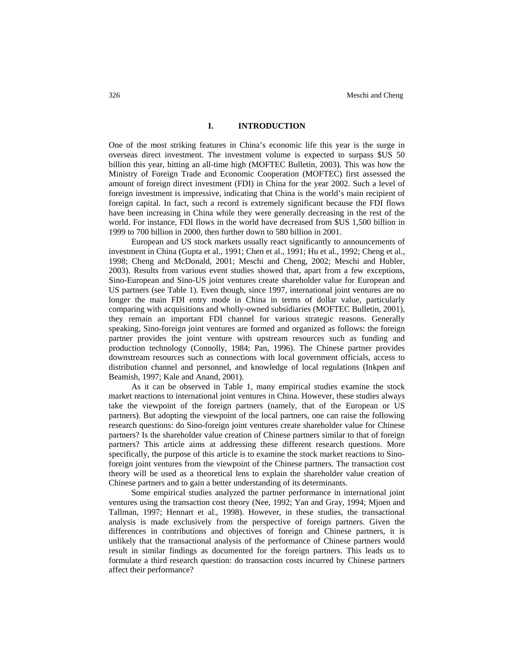### **I. INTRODUCTION**

One of the most striking features in China's economic life this year is the surge in overseas direct investment. The investment volume is expected to surpass \$US 50 billion this year, hitting an all-time high (MOFTEC Bulletin, 2003). This was how the Ministry of Foreign Trade and Economic Cooperation (MOFTEC) first assessed the amount of foreign direct investment (FDI) in China for the year 2002. Such a level of foreign investment is impressive, indicating that China is the world's main recipient of foreign capital. In fact, such a record is extremely significant because the FDI flows have been increasing in China while they were generally decreasing in the rest of the world. For instance, FDI flows in the world have decreased from \$US 1,500 billion in 1999 to 700 billion in 2000, then further down to 580 billion in 2001.

European and US stock markets usually react significantly to announcements of investment in China (Gupta et al., 1991; Chen et al., 1991; Hu et al., 1992; Cheng et al., 1998; Cheng and McDonald, 2001; Meschi and Cheng, 2002; Meschi and Hubler, 2003). Results from various event studies showed that, apart from a few exceptions, Sino-European and Sino-US joint ventures create shareholder value for European and US partners (see Table 1). Even though, since 1997, international joint ventures are no longer the main FDI entry mode in China in terms of dollar value, particularly comparing with acquisitions and wholly-owned subsidiaries (MOFTEC Bulletin, 2001), they remain an important FDI channel for various strategic reasons. Generally speaking, Sino-foreign joint ventures are formed and organized as follows: the foreign partner provides the joint venture with upstream resources such as funding and production technology (Connolly, 1984; Pan, 1996). The Chinese partner provides downstream resources such as connections with local government officials, access to distribution channel and personnel, and knowledge of local regulations (Inkpen and Beamish, 1997; Kale and Anand, 2001).

As it can be observed in Table 1, many empirical studies examine the stock market reactions to international joint ventures in China. However, these studies always take the viewpoint of the foreign partners (namely, that of the European or US partners). But adopting the viewpoint of the local partners, one can raise the following research questions: do Sino-foreign joint ventures create shareholder value for Chinese partners? Is the shareholder value creation of Chinese partners similar to that of foreign partners? This article aims at addressing these different research questions. More specifically, the purpose of this article is to examine the stock market reactions to Sinoforeign joint ventures from the viewpoint of the Chinese partners. The transaction cost theory will be used as a theoretical lens to explain the shareholder value creation of Chinese partners and to gain a better understanding of its determinants.

Some empirical studies analyzed the partner performance in international joint ventures using the transaction cost theory (Nee, 1992; Yan and Gray, 1994; Mjoen and Tallman, 1997; Hennart et al., 1998). However, in these studies, the transactional analysis is made exclusively from the perspective of foreign partners. Given the differences in contributions and objectives of foreign and Chinese partners, it is unlikely that the transactional analysis of the performance of Chinese partners would result in similar findings as documented for the foreign partners. This leads us to formulate a third research question: do transaction costs incurred by Chinese partners affect their performance?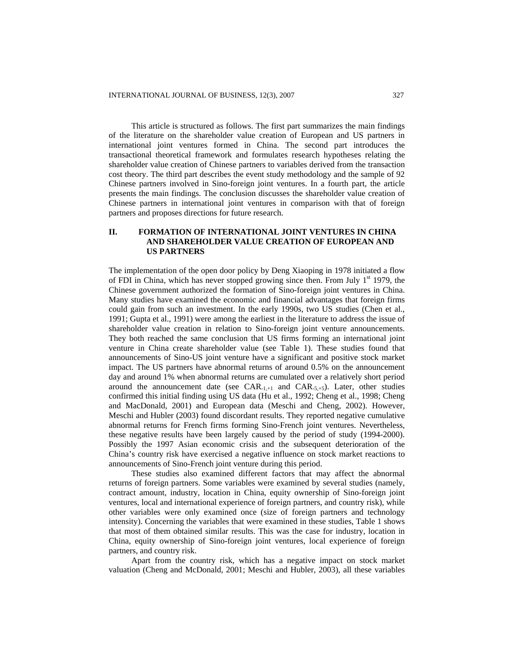This article is structured as follows. The first part summarizes the main findings of the literature on the shareholder value creation of European and US partners in international joint ventures formed in China. The second part introduces the transactional theoretical framework and formulates research hypotheses relating the shareholder value creation of Chinese partners to variables derived from the transaction cost theory. The third part describes the event study methodology and the sample of 92 Chinese partners involved in Sino-foreign joint ventures. In a fourth part, the article presents the main findings. The conclusion discusses the shareholder value creation of Chinese partners in international joint ventures in comparison with that of foreign partners and proposes directions for future research.

# **II. FORMATION OF INTERNATIONAL JOINT VENTURES IN CHINA AND SHAREHOLDER VALUE CREATION OF EUROPEAN AND US PARTNERS**

The implementation of the open door policy by Deng Xiaoping in 1978 initiated a flow of FDI in China, which has never stopped growing since then. From July  $1<sup>st</sup>$  1979, the Chinese government authorized the formation of Sino-foreign joint ventures in China. Many studies have examined the economic and financial advantages that foreign firms could gain from such an investment. In the early 1990s, two US studies (Chen et al., 1991; Gupta et al., 1991) were among the earliest in the literature to address the issue of shareholder value creation in relation to Sino-foreign joint venture announcements. They both reached the same conclusion that US firms forming an international joint venture in China create shareholder value (see Table 1). These studies found that announcements of Sino-US joint venture have a significant and positive stock market impact. The US partners have abnormal returns of around 0.5% on the announcement day and around 1% when abnormal returns are cumulated over a relatively short period around the announcement date (see  $CAR_{-1,+1}$  and  $CAR_{-5,+5}$ ). Later, other studies confirmed this initial finding using US data (Hu et al., 1992; Cheng et al., 1998; Cheng and MacDonald, 2001) and European data (Meschi and Cheng, 2002). However, Meschi and Hubler (2003) found discordant results. They reported negative cumulative abnormal returns for French firms forming Sino-French joint ventures. Nevertheless, these negative results have been largely caused by the period of study (1994-2000). Possibly the 1997 Asian economic crisis and the subsequent deterioration of the China's country risk have exercised a negative influence on stock market reactions to announcements of Sino-French joint venture during this period.

These studies also examined different factors that may affect the abnormal returns of foreign partners. Some variables were examined by several studies (namely, contract amount, industry, location in China, equity ownership of Sino-foreign joint ventures, local and international experience of foreign partners, and country risk), while other variables were only examined once (size of foreign partners and technology intensity). Concerning the variables that were examined in these studies, Table 1 shows that most of them obtained similar results. This was the case for industry, location in China, equity ownership of Sino-foreign joint ventures, local experience of foreign partners, and country risk.

Apart from the country risk, which has a negative impact on stock market valuation (Cheng and McDonald, 2001; Meschi and Hubler, 2003), all these variables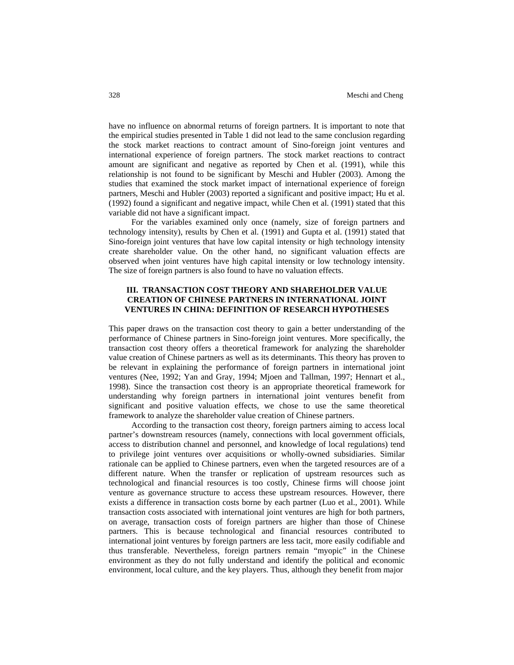have no influence on abnormal returns of foreign partners. It is important to note that the empirical studies presented in Table 1 did not lead to the same conclusion regarding the stock market reactions to contract amount of Sino-foreign joint ventures and international experience of foreign partners. The stock market reactions to contract amount are significant and negative as reported by Chen et al. (1991), while this relationship is not found to be significant by Meschi and Hubler (2003). Among the studies that examined the stock market impact of international experience of foreign partners, Meschi and Hubler (2003) reported a significant and positive impact; Hu et al. (1992) found a significant and negative impact, while Chen et al. (1991) stated that this variable did not have a significant impact.

For the variables examined only once (namely, size of foreign partners and technology intensity), results by Chen et al. (1991) and Gupta et al. (1991) stated that Sino-foreign joint ventures that have low capital intensity or high technology intensity create shareholder value. On the other hand, no significant valuation effects are observed when joint ventures have high capital intensity or low technology intensity. The size of foreign partners is also found to have no valuation effects.

## **III. TRANSACTION COST THEORY AND SHAREHOLDER VALUE CREATION OF CHINESE PARTNERS IN INTERNATIONAL JOINT VENTURES IN CHINA: DEFINITION OF RESEARCH HYPOTHESES**

This paper draws on the transaction cost theory to gain a better understanding of the performance of Chinese partners in Sino-foreign joint ventures. More specifically, the transaction cost theory offers a theoretical framework for analyzing the shareholder value creation of Chinese partners as well as its determinants. This theory has proven to be relevant in explaining the performance of foreign partners in international joint ventures (Nee, 1992; Yan and Gray, 1994; Mjoen and Tallman, 1997; Hennart et al., 1998). Since the transaction cost theory is an appropriate theoretical framework for understanding why foreign partners in international joint ventures benefit from significant and positive valuation effects, we chose to use the same theoretical framework to analyze the shareholder value creation of Chinese partners.

According to the transaction cost theory, foreign partners aiming to access local partner's downstream resources (namely, connections with local government officials, access to distribution channel and personnel, and knowledge of local regulations) tend to privilege joint ventures over acquisitions or wholly-owned subsidiaries. Similar rationale can be applied to Chinese partners, even when the targeted resources are of a different nature. When the transfer or replication of upstream resources such as technological and financial resources is too costly, Chinese firms will choose joint venture as governance structure to access these upstream resources. However, there exists a difference in transaction costs borne by each partner (Luo et al., 2001). While transaction costs associated with international joint ventures are high for both partners, on average, transaction costs of foreign partners are higher than those of Chinese partners. This is because technological and financial resources contributed to international joint ventures by foreign partners are less tacit, more easily codifiable and thus transferable. Nevertheless, foreign partners remain "myopic" in the Chinese environment as they do not fully understand and identify the political and economic environment, local culture, and the key players. Thus, although they benefit from major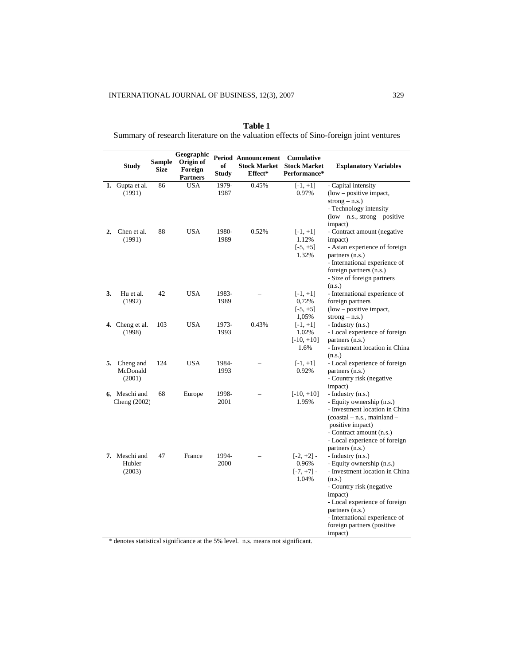|    | <b>Study</b>                         | <b>Sample</b><br><b>Size</b> | Geographic<br>Origin of<br>Foreign<br><b>Partners</b> | of<br><b>Study</b> | <b>Period Announcement</b><br><b>Stock Market</b><br>Effect* | Cumulative<br><b>Stock Market</b><br>Performance* | <b>Explanatory Variables</b>                                                                                                                                                                                                                                    |
|----|--------------------------------------|------------------------------|-------------------------------------------------------|--------------------|--------------------------------------------------------------|---------------------------------------------------|-----------------------------------------------------------------------------------------------------------------------------------------------------------------------------------------------------------------------------------------------------------------|
| 1. | Gupta et al.<br>(1991)               | 86                           | USA                                                   | 1979-<br>1987      | 0.45%                                                        | $[-1, +1]$<br>0.97%                               | - Capital intensity<br>$(low - positive impact,$<br>strong $-$ n.s.)<br>- Technology intensity<br>$(low - n.s., strong - positive$<br>impact)                                                                                                                   |
| 2. | Chen et al.<br>(1991)                | 88                           | <b>USA</b>                                            | 1980-<br>1989      | 0.52%                                                        | $[-1, +1]$<br>1.12%<br>$[-5, +5]$<br>1.32%        | - Contract amount (negative<br>impact)<br>- Asian experience of foreign<br>partners (n.s.)<br>- International experience of<br>foreign partners (n.s.)<br>- Size of foreign partners<br>(n.s.)                                                                  |
| 3. | Hu et al.<br>(1992)                  | 42                           | <b>USA</b>                                            | 1983-<br>1989      |                                                              | $[-1, +1]$<br>0,72%<br>$[-5, +5]$<br>1,05%        | - International experience of<br>foreign partners<br>$(low - positive impact,$<br>strong $-$ n.s.)                                                                                                                                                              |
|    | 4. Cheng et al.<br>(1998)            | 103                          | <b>USA</b>                                            | 1973-<br>1993      | 0.43%                                                        | $[-1, +1]$<br>1.02%<br>$[-10, +10]$<br>1.6%       | - Industry (n.s.)<br>- Local experience of foreign<br>partners (n.s.)<br>- Investment location in China<br>(n.s.)                                                                                                                                               |
| 5. | Cheng and<br>McDonald<br>(2001)      | 124                          | <b>USA</b>                                            | 1984-<br>1993      |                                                              | $[-1, +1]$<br>0.92%                               | - Local experience of foreign<br>partners (n.s.)<br>- Country risk (negative<br>impact)                                                                                                                                                                         |
|    | <b>6.</b> Meschi and<br>Cheng (2002) | 68                           | Europe                                                | 1998-<br>2001      |                                                              | $[-10, +10]$<br>1.95%                             | - Industry (n.s.)<br>- Equity ownership (n.s.)<br>- Investment location in China<br>$(cosatal - n.s., mainland -$<br>positive impact)<br>- Contract amount (n.s.)<br>- Local experience of foreign<br>partners (n.s.)                                           |
|    | 7. Meschi and<br>Hubler<br>(2003)    | 47                           | France                                                | 1994-<br>2000      |                                                              | $[-2, +2]$ -<br>0.96%<br>$[-7, +7]$ -<br>1.04%    | - Industry (n.s.)<br>- Equity ownership (n.s.)<br>- Investment location in China<br>(n.s.)<br>- Country risk (negative<br>impact)<br>- Local experience of foreign<br>partners (n.s.)<br>- International experience of<br>foreign partners (positive<br>impact) |

| Table 1                                                                                |
|----------------------------------------------------------------------------------------|
| Summary of research literature on the valuation effects of Sino-foreign joint ventures |

\* denotes statistical significance at the 5% level. n.s. means not significant.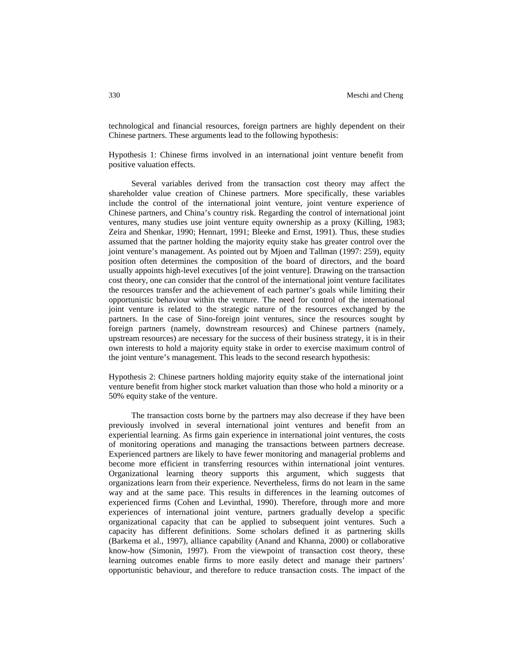technological and financial resources, foreign partners are highly dependent on their Chinese partners. These arguments lead to the following hypothesis:

Hypothesis 1: Chinese firms involved in an international joint venture benefit from positive valuation effects.

Several variables derived from the transaction cost theory may affect the shareholder value creation of Chinese partners. More specifically, these variables include the control of the international joint venture, joint venture experience of Chinese partners, and China's country risk. Regarding the control of international joint ventures, many studies use joint venture equity ownership as a proxy (Killing, 1983; Zeira and Shenkar, 1990; Hennart, 1991; Bleeke and Ernst, 1991). Thus, these studies assumed that the partner holding the majority equity stake has greater control over the joint venture's management. As pointed out by Mjoen and Tallman (1997: 259), equity position often determines the composition of the board of directors, and the board usually appoints high-level executives [of the joint venture]. Drawing on the transaction cost theory, one can consider that the control of the international joint venture facilitates the resources transfer and the achievement of each partner's goals while limiting their opportunistic behaviour within the venture. The need for control of the international joint venture is related to the strategic nature of the resources exchanged by the partners. In the case of Sino-foreign joint ventures, since the resources sought by foreign partners (namely, downstream resources) and Chinese partners (namely, upstream resources) are necessary for the success of their business strategy, it is in their own interests to hold a majority equity stake in order to exercise maximum control of the joint venture's management. This leads to the second research hypothesis:

Hypothesis 2: Chinese partners holding majority equity stake of the international joint venture benefit from higher stock market valuation than those who hold a minority or a 50% equity stake of the venture.

The transaction costs borne by the partners may also decrease if they have been previously involved in several international joint ventures and benefit from an experiential learning. As firms gain experience in international joint ventures, the costs of monitoring operations and managing the transactions between partners decrease. Experienced partners are likely to have fewer monitoring and managerial problems and become more efficient in transferring resources within international joint ventures. Organizational learning theory supports this argument, which suggests that organizations learn from their experience. Nevertheless, firms do not learn in the same way and at the same pace. This results in differences in the learning outcomes of experienced firms (Cohen and Levinthal, 1990). Therefore, through more and more experiences of international joint venture, partners gradually develop a specific organizational capacity that can be applied to subsequent joint ventures. Such a capacity has different definitions. Some scholars defined it as partnering skills (Barkema et al., 1997), alliance capability (Anand and Khanna, 2000) or collaborative know-how (Simonin, 1997). From the viewpoint of transaction cost theory, these learning outcomes enable firms to more easily detect and manage their partners' opportunistic behaviour, and therefore to reduce transaction costs. The impact of the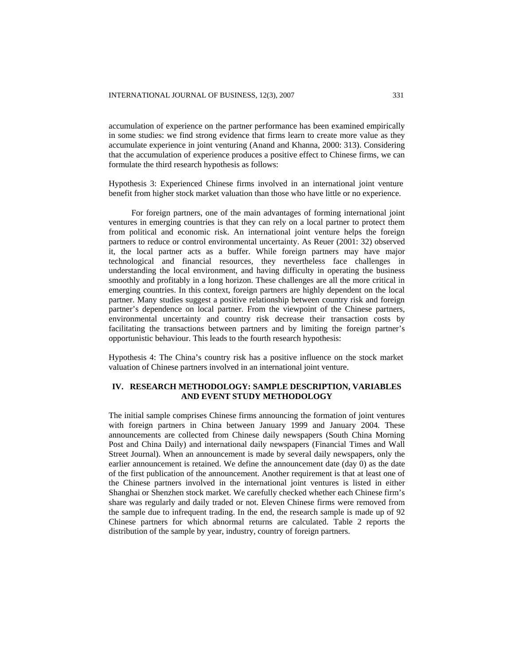accumulation of experience on the partner performance has been examined empirically in some studies: we find strong evidence that firms learn to create more value as they accumulate experience in joint venturing (Anand and Khanna, 2000: 313). Considering that the accumulation of experience produces a positive effect to Chinese firms, we can formulate the third research hypothesis as follows:

Hypothesis 3: Experienced Chinese firms involved in an international joint venture benefit from higher stock market valuation than those who have little or no experience.

For foreign partners, one of the main advantages of forming international joint ventures in emerging countries is that they can rely on a local partner to protect them from political and economic risk. An international joint venture helps the foreign partners to reduce or control environmental uncertainty. As Reuer (2001: 32) observed it, the local partner acts as a buffer. While foreign partners may have major technological and financial resources, they nevertheless face challenges in understanding the local environment, and having difficulty in operating the business smoothly and profitably in a long horizon. These challenges are all the more critical in emerging countries. In this context, foreign partners are highly dependent on the local partner. Many studies suggest a positive relationship between country risk and foreign partner's dependence on local partner. From the viewpoint of the Chinese partners, environmental uncertainty and country risk decrease their transaction costs by facilitating the transactions between partners and by limiting the foreign partner's opportunistic behaviour. This leads to the fourth research hypothesis:

Hypothesis 4: The China's country risk has a positive influence on the stock market valuation of Chinese partners involved in an international joint venture.

## **IV. RESEARCH METHODOLOGY: SAMPLE DESCRIPTION, VARIABLES AND EVENT STUDY METHODOLOGY**

The initial sample comprises Chinese firms announcing the formation of joint ventures with foreign partners in China between January 1999 and January 2004. These announcements are collected from Chinese daily newspapers (South China Morning Post and China Daily) and international daily newspapers (Financial Times and Wall Street Journal). When an announcement is made by several daily newspapers, only the earlier announcement is retained. We define the announcement date (day 0) as the date of the first publication of the announcement. Another requirement is that at least one of the Chinese partners involved in the international joint ventures is listed in either Shanghai or Shenzhen stock market. We carefully checked whether each Chinese firm's share was regularly and daily traded or not. Eleven Chinese firms were removed from the sample due to infrequent trading. In the end, the research sample is made up of 92 Chinese partners for which abnormal returns are calculated. Table 2 reports the distribution of the sample by year, industry, country of foreign partners.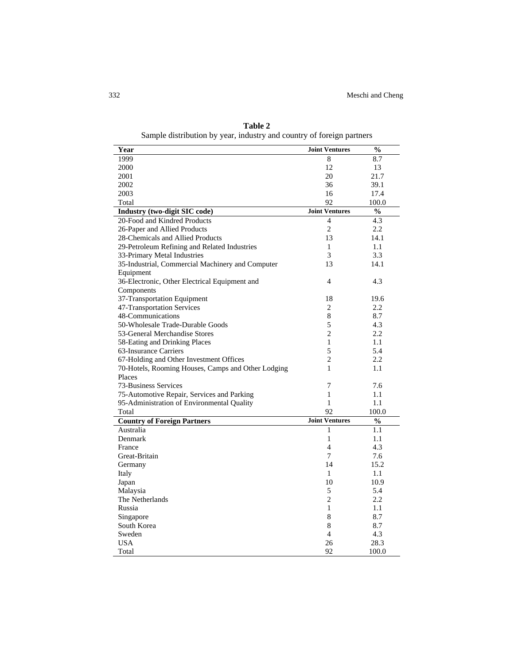| Year                                               | <b>Joint Ventures</b> | $\frac{0}{0}$ |
|----------------------------------------------------|-----------------------|---------------|
| 1999                                               | 8                     | 8.7           |
| 2000                                               | 12                    | 13            |
| 2001                                               | 20                    | 21.7          |
| 2002                                               | 36                    | 39.1          |
| 2003                                               | 16                    | 17.4          |
| Total                                              | 92                    | 100.0         |
| Industry (two-digit SIC code)                      | <b>Joint Ventures</b> | $\frac{0}{0}$ |
| 20-Food and Kindred Products                       | 4                     | 4.3           |
| 26-Paper and Allied Products                       | $\overline{c}$        | 2.2           |
| 28-Chemicals and Allied Products                   | 13                    | 14.1          |
| 29-Petroleum Refining and Related Industries       | $\mathbf{1}$          | 1.1           |
| 33-Primary Metal Industries                        | 3                     | 3.3           |
| 35-Industrial, Commercial Machinery and Computer   | 13                    | 14.1          |
| Equipment                                          |                       |               |
| 36-Electronic, Other Electrical Equipment and      | $\overline{4}$        | 4.3           |
| Components                                         |                       |               |
| 37-Transportation Equipment                        | 18                    | 19.6          |
| 47-Transportation Services                         | $\overline{c}$        | 2.2           |
| 48-Communications                                  | 8                     | 8.7           |
| 50-Wholesale Trade-Durable Goods                   | 5                     | 4.3           |
| 53-General Merchandise Stores                      | $\overline{c}$        | 2.2           |
| 58-Eating and Drinking Places                      | 1                     | 1.1           |
| 63-Insurance Carriers                              | 5                     | 5.4           |
| 67-Holding and Other Investment Offices            | $\overline{c}$        | 2.2           |
| 70-Hotels, Rooming Houses, Camps and Other Lodging | $\mathbf{1}$          | 1.1           |
| Places                                             |                       |               |
| 73-Business Services                               | 7                     | 7.6           |
| 75-Automotive Repair, Services and Parking         | $\mathbf{1}$          | 1.1           |
| 95-Administration of Environmental Quality         | $\mathbf{1}$          | 1.1           |
| Total                                              | 92                    | 100.0         |
| <b>Country of Foreign Partners</b>                 | <b>Joint Ventures</b> | $\frac{0}{0}$ |
| Australia                                          | $\mathbf{1}$          | 1.1           |
| Denmark                                            | $\mathbf{1}$          | 1.1           |
| France                                             | $\overline{4}$        | 4.3           |
| Great-Britain                                      | 7                     | 7.6           |
| Germany                                            | 14                    | 15.2          |
| Italy                                              | $\mathbf{1}$          | 1.1           |
| Japan                                              | 10                    | 10.9          |
| Malaysia                                           | 5                     | 5.4           |
| The Netherlands                                    | 2                     | 2.2           |
| Russia                                             | $\mathbf{1}$          | 1.1           |
| Singapore                                          | 8                     | 8.7           |
| South Korea                                        | 8                     | 8.7           |
| Sweden                                             | $\overline{4}$        | 4.3           |
| <b>USA</b>                                         | 26                    | 28.3          |
| Total                                              | 92                    | 100.0         |

**Table 2** Sample distribution by year, industry and country of foreign partners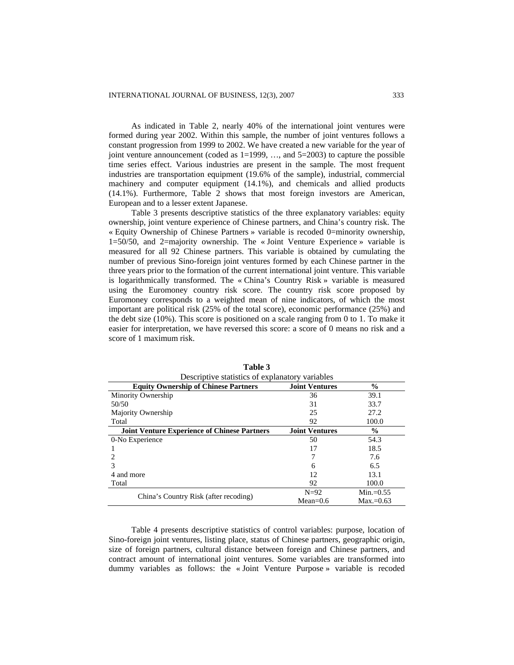As indicated in Table 2, nearly 40% of the international joint ventures were formed during year 2002. Within this sample, the number of joint ventures follows a constant progression from 1999 to 2002. We have created a new variable for the year of joint venture announcement (coded as  $1=1999, \ldots$  and  $5=2003$ ) to capture the possible time series effect. Various industries are present in the sample. The most frequent industries are transportation equipment (19.6% of the sample), industrial, commercial machinery and computer equipment (14.1%), and chemicals and allied products (14.1%). Furthermore, Table 2 shows that most foreign investors are American, European and to a lesser extent Japanese.

Table 3 presents descriptive statistics of the three explanatory variables: equity ownership, joint venture experience of Chinese partners, and China's country risk. The « Equity Ownership of Chinese Partners » variable is recoded 0=minority ownership, 1=50/50, and 2=majority ownership. The « Joint Venture Experience » variable is measured for all 92 Chinese partners. This variable is obtained by cumulating the number of previous Sino-foreign joint ventures formed by each Chinese partner in the three years prior to the formation of the current international joint venture. This variable is logarithmically transformed. The « China's Country Risk » variable is measured using the Euromoney country risk score. The country risk score proposed by Euromoney corresponds to a weighted mean of nine indicators, of which the most important are political risk (25% of the total score), economic performance (25%) and the debt size (10%). This score is positioned on a scale ranging from 0 to 1. To make it easier for interpretation, we have reversed this score: a score of 0 means no risk and a score of 1 maximum risk.

| Descriptive statistics of explanatory variables     |                       |               |  |  |  |  |  |
|-----------------------------------------------------|-----------------------|---------------|--|--|--|--|--|
| <b>Equity Ownership of Chinese Partners</b>         | <b>Joint Ventures</b> | $\frac{0}{0}$ |  |  |  |  |  |
| Minority Ownership                                  | 36                    | 39.1          |  |  |  |  |  |
| 50/50                                               | 31                    | 33.7          |  |  |  |  |  |
| Majority Ownership                                  | 25                    | 27.2          |  |  |  |  |  |
| Total                                               | 92                    | 100.0         |  |  |  |  |  |
| <b>Joint Venture Experience of Chinese Partners</b> | <b>Joint Ventures</b> | $\frac{0}{0}$ |  |  |  |  |  |
| 0-No Experience                                     | 50                    | 54.3          |  |  |  |  |  |
|                                                     | 17                    | 18.5          |  |  |  |  |  |
|                                                     |                       | 7.6           |  |  |  |  |  |
|                                                     | 6                     | 6.5           |  |  |  |  |  |
| 4 and more                                          | 12                    | 13.1          |  |  |  |  |  |
| Total                                               | 92                    | 100.0         |  |  |  |  |  |
| China's Country Risk (after recoding)               | $N=92$                | Min.= $0.55$  |  |  |  |  |  |
|                                                     | $Mean=0.6$            | $Max.=0.63$   |  |  |  |  |  |

**Table 3** 

Table 4 presents descriptive statistics of control variables: purpose, location of Sino-foreign joint ventures, listing place, status of Chinese partners, geographic origin, size of foreign partners, cultural distance between foreign and Chinese partners, and contract amount of international joint ventures. Some variables are transformed into dummy variables as follows: the « Joint Venture Purpose » variable is recoded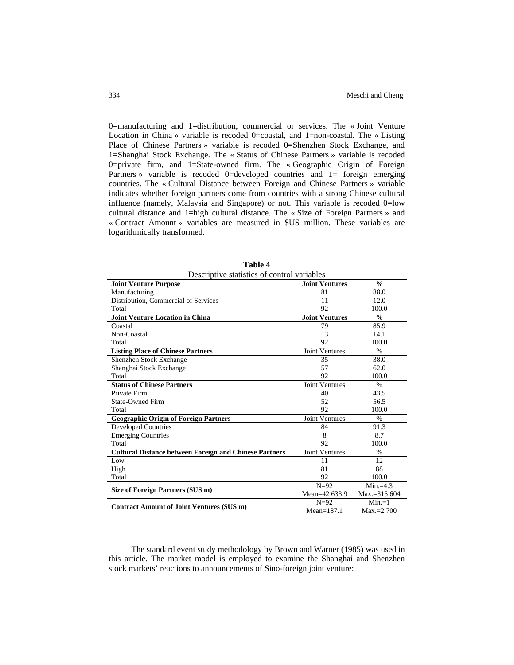0=manufacturing and 1=distribution, commercial or services. The « Joint Venture Location in China » variable is recoded 0=coastal, and 1=non-coastal. The « Listing Place of Chinese Partners » variable is recoded 0=Shenzhen Stock Exchange, and 1=Shanghai Stock Exchange. The « Status of Chinese Partners » variable is recoded 0=private firm, and 1=State-owned firm. The « Geographic Origin of Foreign Partners » variable is recoded 0=developed countries and 1= foreign emerging countries. The « Cultural Distance between Foreign and Chinese Partners » variable indicates whether foreign partners come from countries with a strong Chinese cultural influence (namely, Malaysia and Singapore) or not. This variable is recoded  $0=$ low cultural distance and 1=high cultural distance. The « Size of Foreign Partners » and « Contract Amount » variables are measured in \$US million. These variables are logarithmically transformed.

| Descriptive statistics of control variables                   |                       |               |
|---------------------------------------------------------------|-----------------------|---------------|
| <b>Joint Venture Purpose</b>                                  | <b>Joint Ventures</b> | $\frac{0}{0}$ |
| Manufacturing                                                 | 81                    | 88.0          |
| Distribution, Commercial or Services                          | 11                    | 12.0          |
| Total                                                         | 92                    | 100.0         |
| <b>Joint Venture Location in China</b>                        | <b>Joint Ventures</b> | $\frac{0}{0}$ |
| Coastal                                                       | 79                    | 85.9          |
| Non-Coastal                                                   | 13                    | 14.1          |
| Total                                                         | 92                    | 100.0         |
| <b>Listing Place of Chinese Partners</b>                      | <b>Joint Ventures</b> | $\frac{0}{0}$ |
| Shenzhen Stock Exchange                                       | 35                    | 38.0          |
| Shanghai Stock Exchange                                       | 57                    | 62.0          |
| Total                                                         | 92                    | 100.0         |
| <b>Status of Chinese Partners</b>                             | Joint Ventures        | $\frac{0}{0}$ |
| Private Firm                                                  | 40                    | 43.5          |
| State-Owned Firm                                              | 52                    | 56.5          |
| Total                                                         | 92                    | 100.0         |
| <b>Geographic Origin of Foreign Partners</b>                  | Joint Ventures        | $\frac{0}{0}$ |
| <b>Developed Countries</b>                                    | 84                    | 91.3          |
| <b>Emerging Countries</b>                                     | 8                     | 8.7           |
| Total                                                         | 92                    | 100.0         |
| <b>Cultural Distance between Foreign and Chinese Partners</b> | <b>Joint Ventures</b> | %             |
| Low                                                           | 11                    | 12            |
| High                                                          | 81                    | 88            |
| Total                                                         | 92                    | 100.0         |
| Size of Foreign Partners (\$US m)                             | $N=92$                | $Min = 4.3$   |
|                                                               | Mean=42 633.9         | $Max.=315604$ |
| <b>Contract Amount of Joint Ventures (\$US m)</b>             | $N=92$                | $Min = 1$     |
|                                                               | $Mean=187.1$          | $Max = 2700$  |

**Table 4**  Descriptive statistics of control variables

The standard event study methodology by Brown and Warner (1985) was used in this article. The market model is employed to examine the Shanghai and Shenzhen stock markets' reactions to announcements of Sino-foreign joint venture: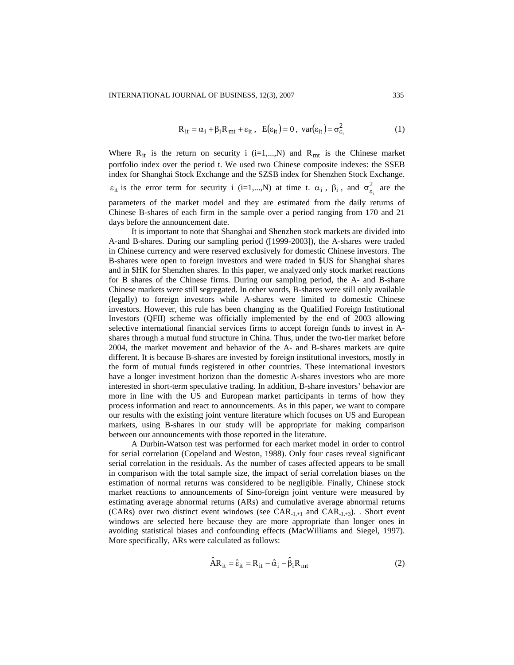$$
R_{it} = \alpha_i + \beta_i R_{mt} + \varepsilon_{it}, \quad E(\varepsilon_{it}) = 0, \quad \text{var}(\varepsilon_{it}) = \sigma_{\varepsilon_i}^2 \tag{1}
$$

Where  $R_{it}$  is the return on security i (i=1,...,N) and  $R_{mt}$  is the Chinese market portfolio index over the period t. We used two Chinese composite indexes: the SSEB index for Shanghai Stock Exchange and the SZSB index for Shenzhen Stock Exchange.  $\varepsilon_{it}$  is the error term for security i (i=1,...,N) at time t.  $\alpha_i$ ,  $\beta_i$ , and  $\sigma_{\varepsilon_i}^2$  are the parameters of the market model and they are estimated from the daily returns of Chinese B-shares of each firm in the sample over a period ranging from 170 and 21 days before the announcement date.

It is important to note that Shanghai and Shenzhen stock markets are divided into A-and B-shares. During our sampling period ([1999-2003]), the A-shares were traded in Chinese currency and were reserved exclusively for domestic Chinese investors. The B-shares were open to foreign investors and were traded in \$US for Shanghai shares and in \$HK for Shenzhen shares. In this paper, we analyzed only stock market reactions for B shares of the Chinese firms. During our sampling period, the A- and B-share Chinese markets were still segregated. In other words, B-shares were still only available (legally) to foreign investors while A-shares were limited to domestic Chinese investors. However, this rule has been changing as the Qualified Foreign Institutional Investors (QFII) scheme was officially implemented by the end of 2003 allowing selective international financial services firms to accept foreign funds to invest in Ashares through a mutual fund structure in China. Thus, under the two-tier market before 2004, the market movement and behavior of the A- and B-shares markets are quite different. It is because B-shares are invested by foreign institutional investors, mostly in the form of mutual funds registered in other countries. These international investors have a longer investment horizon than the domestic A-shares investors who are more interested in short-term speculative trading. In addition, B-share investors' behavior are more in line with the US and European market participants in terms of how they process information and react to announcements. As in this paper, we want to compare our results with the existing joint venture literature which focuses on US and European markets, using B-shares in our study will be appropriate for making comparison between our announcements with those reported in the literature.

A Durbin-Watson test was performed for each market model in order to control for serial correlation (Copeland and Weston, 1988). Only four cases reveal significant serial correlation in the residuals. As the number of cases affected appears to be small in comparison with the total sample size, the impact of serial correlation biases on the estimation of normal returns was considered to be negligible. Finally, Chinese stock market reactions to announcements of Sino-foreign joint venture were measured by estimating average abnormal returns (ARs) and cumulative average abnormal returns (CARs) over two distinct event windows (see CAR<sub>-1+1</sub> and CAR<sub>-1+3</sub>). . Short event windows are selected here because they are more appropriate than longer ones in avoiding statistical biases and confounding effects (MacWilliams and Siegel, 1997). More specifically, ARs were calculated as follows:

$$
\hat{A}R_{it} = \hat{\varepsilon}_{it} = R_{it} - \hat{\alpha}_i - \hat{\beta}_i R_{mt}
$$
 (2)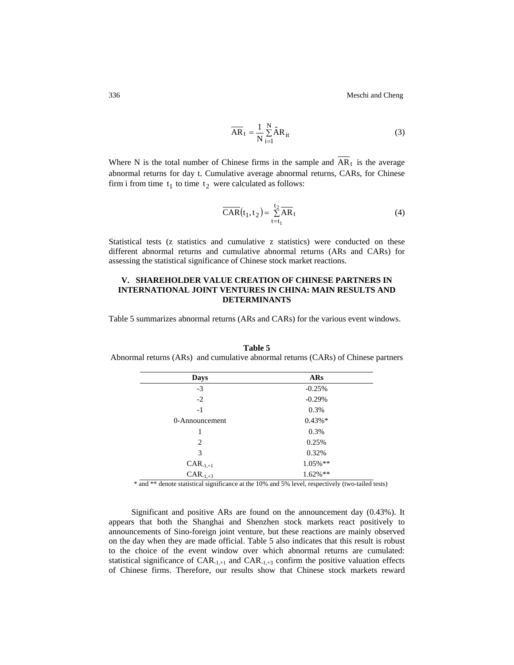336 Meschi and Cheng

$$
\overline{AR}_t = \frac{1}{N} \sum_{i=1}^{N} \hat{AR}_{it}
$$
 (3)

Where N is the total number of Chinese firms in the sample and  $AR_t$  is the average abnormal returns for day t. Cumulative average abnormal returns, CARs, for Chinese firm i from time  $t_1$  to time  $t_2$  were calculated as follows:

$$
\overline{\text{CAR}}(t_1, t_2) = \sum_{t=t_1}^{t_2} \overline{\text{AR}}_t \tag{4}
$$

Statistical tests (z statistics and cumulative z statistics) were conducted on these different abnormal returns and cumulative abnormal returns (ARs and CARs) for assessing the statistical significance of Chinese stock market reactions.

### **V. SHAREHOLDER VALUE CREATION OF CHINESE PARTNERS IN INTERNATIONAL JOINT VENTURES IN CHINA: MAIN RESULTS AND DETERMINANTS**

Table 5 summarizes abnormal returns (ARs and CARs) for the various event windows.

#### **Table 5**

Abnormal returns (ARs) and cumulative abnormal returns (CARs) of Chinese partners

| Days                                                                                                    | ARs        |  |  |  |
|---------------------------------------------------------------------------------------------------------|------------|--|--|--|
| $-3$                                                                                                    | $-0.25%$   |  |  |  |
| $-2$                                                                                                    | $-0.29%$   |  |  |  |
| $-1$                                                                                                    | 0.3%       |  |  |  |
| 0-Announcement                                                                                          | $0.43\%*$  |  |  |  |
| 1                                                                                                       | 0.3%       |  |  |  |
| 2                                                                                                       | 0.25%      |  |  |  |
| 3                                                                                                       | 0.32%      |  |  |  |
|                                                                                                         | $1.05\%**$ |  |  |  |
| $\begin{array}{c} \mathrm{CAR}_{\text{-}1,\text{+}1} \\ \mathrm{CAR}_{\text{-}1,\text{+}3} \end{array}$ | $1.62\%**$ |  |  |  |

\* and \*\* denote statistical significance at the 10% and 5% level, respectively (two-tailed tests)

Significant and positive ARs are found on the announcement day (0.43%). It appears that both the Shanghai and Shenzhen stock markets react positively to announcements of Sino-foreign joint venture, but these reactions are mainly observed on the day when they are made official. Table 5 also indicates that this result is robust to the choice of the event window over which abnormal returns are cumulated: statistical significance of  $CAR_{-1,+1}$  and  $CAR_{-1,+3}$  confirm the positive valuation effects of Chinese firms. Therefore, our results show that Chinese stock markets reward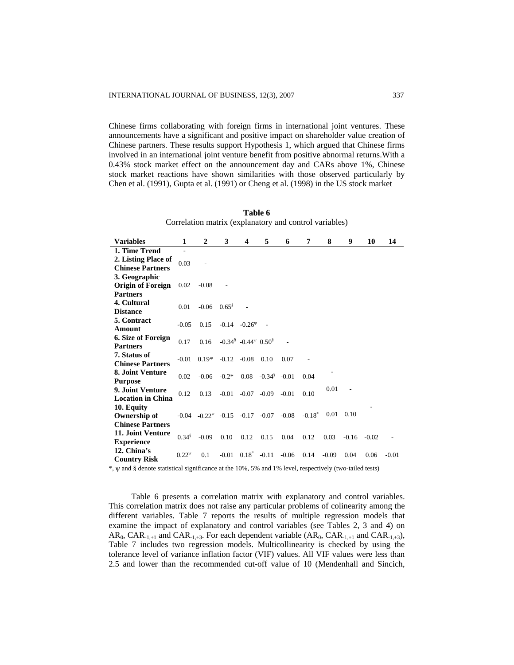Chinese firms collaborating with foreign firms in international joint ventures. These announcements have a significant and positive impact on shareholder value creation of Chinese partners. These results support Hypothesis 1, which argued that Chinese firms involved in an international joint venture benefit from positive abnormal returns.With a 0.43% stock market effect on the announcement day and CARs above 1%, Chinese stock market reactions have shown similarities with those observed particularly by Chen et al. (1991), Gupta et al. (1991) or Cheng et al. (1998) in the US stock market

**Table 6**  Correlation matrix (explanatory and control variables)

| <b>Variables</b>         | 1             | $\mathbf{2}$                                   | 3              | $\overline{\mathbf{4}}$                                          | 5                          | 6       | 7                    | 8       | 9       | 10      | 14      |
|--------------------------|---------------|------------------------------------------------|----------------|------------------------------------------------------------------|----------------------------|---------|----------------------|---------|---------|---------|---------|
| 1. Time Trend            |               |                                                |                |                                                                  |                            |         |                      |         |         |         |         |
| 2. Listing Place of      | 0.03          |                                                |                |                                                                  |                            |         |                      |         |         |         |         |
| <b>Chinese Partners</b>  |               |                                                |                |                                                                  |                            |         |                      |         |         |         |         |
| 3. Geographic            |               |                                                |                |                                                                  |                            |         |                      |         |         |         |         |
| <b>Origin of Foreign</b> | 0.02          | $-0.08$                                        |                |                                                                  |                            |         |                      |         |         |         |         |
| <b>Partners</b>          |               |                                                |                |                                                                  |                            |         |                      |         |         |         |         |
| 4. Cultural              | 0.01          | $-0.06$ $0.65^{\frac{8}{3}}$                   |                |                                                                  |                            |         |                      |         |         |         |         |
| <b>Distance</b>          |               |                                                |                |                                                                  |                            |         |                      |         |         |         |         |
| 5. Contract              | $-0.05$       | 0.15                                           |                | $-0.14 - 0.26^{\Psi}$                                            |                            |         |                      |         |         |         |         |
| Amount                   |               |                                                |                |                                                                  |                            |         |                      |         |         |         |         |
| 6. Size of Foreign       | 0.17          | 0.16                                           |                | $-0.34^{\frac{8}{3}}$ $-0.44^{\frac{9}{3}}$ $0.50^{\frac{8}{3}}$ |                            |         |                      |         |         |         |         |
| <b>Partners</b>          |               |                                                |                |                                                                  |                            |         |                      |         |         |         |         |
| 7. Status of             | $-0.01$       | $0.19*$                                        | $-0.12 - 0.08$ |                                                                  | 0.10                       | 0.07    |                      |         |         |         |         |
| <b>Chinese Partners</b>  |               |                                                |                |                                                                  |                            |         |                      |         |         |         |         |
| 8. Joint Venture         | 0.02          | $-0.06$                                        | $-0.2*$        |                                                                  | $0.08 - 0.34$ <sup>§</sup> | $-0.01$ | 0.04                 |         |         |         |         |
| <b>Purpose</b>           |               |                                                |                |                                                                  |                            |         |                      |         |         |         |         |
| 9. Joint Venture         | 0.12          | 0.13                                           | $-0.01$        |                                                                  | $-0.07 - 0.09$             | $-0.01$ | 0.10                 | 0.01    |         |         |         |
| <b>Location in China</b> |               |                                                |                |                                                                  |                            |         |                      |         |         |         |         |
| 10. Equity               |               |                                                |                |                                                                  |                            |         |                      |         |         |         |         |
| Ownership of             |               | $-0.04$ $-0.22^{\psi}$ $-0.15$ $-0.17$ $-0.07$ |                |                                                                  |                            | $-0.08$ | $-0.18$ <sup>*</sup> | 0.01    | 0.10    |         |         |
| <b>Chinese Partners</b>  |               |                                                |                |                                                                  |                            |         |                      |         |         |         |         |
| 11. Joint Venture        | $0.34^{\$}$   | $-0.09$                                        | 0.10           | 0.12                                                             | 0.15                       | 0.04    | 0.12                 | 0.03    | $-0.16$ | $-0.02$ |         |
| <b>Experience</b>        |               |                                                |                |                                                                  |                            |         |                      |         |         |         |         |
| 12. China's              | $0.22^{\psi}$ | 0.1                                            | $-0.01$        | $0.18^*$                                                         | $-0.11$                    | $-0.06$ | 0.14                 | $-0.09$ | 0.04    | 0.06    | $-0.01$ |
| <b>Country Risk</b>      |               |                                                |                |                                                                  |                            |         |                      |         |         |         |         |

\*, ψ and § denote statistical significance at the 10%, 5% and 1% level, respectively (two-tailed tests)

Table 6 presents a correlation matrix with explanatory and control variables. This correlation matrix does not raise any particular problems of colinearity among the different variables. Table 7 reports the results of multiple regression models that examine the impact of explanatory and control variables (see Tables 2, 3 and 4) on  $AR_0$ ,  $CAR_{-1,+1}$  and  $CAR_{-1,+3}$ . For each dependent variable  $(AR_0, CAR_{-1,+1}$  and  $CAR_{-1,+3}$ , Table 7 includes two regression models. Multicollinearity is checked by using the tolerance level of variance inflation factor (VIF) values. All VIF values were less than 2.5 and lower than the recommended cut-off value of 10 (Mendenhall and Sincich,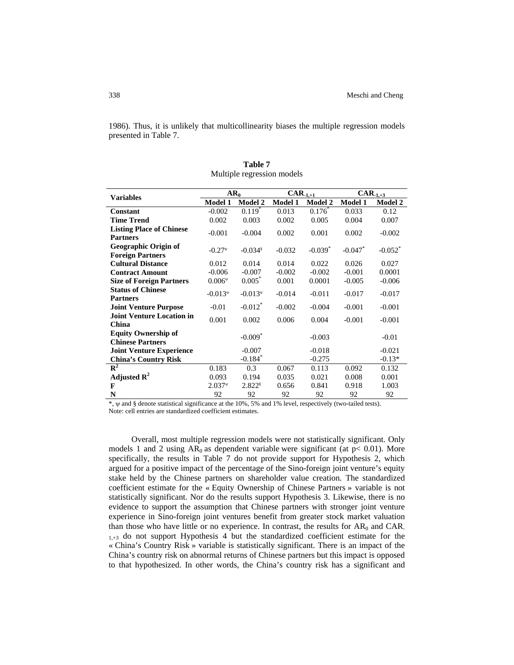1986). Thus, it is unlikely that multicollinearity biases the multiple regression models presented in Table 7.

|                                  | $AR_0$         |                       | $CAR_{-1,+1}$  |                       | $CAR_{-1,+3}$  |                       |  |
|----------------------------------|----------------|-----------------------|----------------|-----------------------|----------------|-----------------------|--|
| <b>Variables</b>                 | <b>Model 1</b> | <b>Model 2</b>        | <b>Model 1</b> | <b>Model 2</b>        | <b>Model 1</b> | <b>Model 2</b>        |  |
| <b>Constant</b>                  | $-0.002$       | $0.119^*$             | 0.013          | $0.176^*$             | 0.033          | 0.12                  |  |
| <b>Time Trend</b>                | 0.002          | 0.003                 | 0.002          | 0.005                 | 0.004          | 0.007                 |  |
| <b>Listing Place of Chinese</b>  |                |                       |                |                       |                |                       |  |
| <b>Partners</b>                  | $-0.001$       | $-0.004$              | 0.002          | 0.001                 | 0.002          | $-0.002$              |  |
| Geographic Origin of             |                |                       |                |                       |                |                       |  |
| <b>Foreign Partners</b>          | $-0.27^{\nu}$  | $-0.034$ <sup>§</sup> | $-0.032$       | $-0.039$ <sup>*</sup> | $-0.047$ *     | $-0.052$ <sup>*</sup> |  |
| <b>Cultural Distance</b>         | 0.012          | 0.014                 | 0.014          | 0.022                 | 0.026          | 0.027                 |  |
| <b>Contract Amount</b>           |                |                       | $-0.002$       | $-0.002$              | $-0.001$       | 0.0001                |  |
|                                  | $-0.006$       | $-0.007$              |                |                       |                |                       |  |
| <b>Size of Foreign Partners</b>  | $0.006^{\psi}$ | $0.005^*$             | 0.001          | 0.0001                | $-0.005$       | $-0.006$              |  |
| <b>Status of Chinese</b>         | $-0.013^{\nu}$ | $-0.013^{\nu}$        | $-0.014$       | $-0.011$              | $-0.017$       | $-0.017$              |  |
| <b>Partners</b>                  |                |                       |                |                       |                |                       |  |
| <b>Joint Venture Purpose</b>     | $-0.01$        | $-0.012$ <sup>*</sup> | $-0.002$       | $-0.004$              | $-0.001$       | $-0.001$              |  |
| <b>Joint Venture Location in</b> | 0.001          | 0.002                 | 0.006          | 0.004                 | $-0.001$       | $-0.001$              |  |
| China                            |                |                       |                |                       |                |                       |  |
| <b>Equity Ownership of</b>       |                | $-0.009$ <sup>*</sup> |                | $-0.003$              |                | $-0.01$               |  |
| <b>Chinese Partners</b>          |                |                       |                |                       |                |                       |  |
| <b>Joint Venture Experience</b>  |                | $-0.007$              |                | $-0.018$              |                | $-0.021$              |  |
| <b>China's Country Risk</b>      |                | $-0.184$ <sup>*</sup> |                | $-0.275$              |                | $-0.13*$              |  |
| $R^2$                            | 0.183          | 0.3                   | 0.067          | 0.113                 | 0.092          | 0.132                 |  |
| Adjusted $\mathbb{R}^2$          | 0.093          | 0.194                 | 0.035          | 0.021                 | 0.008          | 0.001                 |  |
| F                                | $2.037*$       | $2.822$ <sup>§</sup>  | 0.656          | 0.841                 | 0.918          | 1.003                 |  |
| N                                | 92             | 92                    | 92             | 92                    | 92             | 92                    |  |

**Table 7**  Multiple regression models

\*, ψ and § denote statistical significance at the 10%, 5% and 1% level, respectively (two-tailed tests).

Note: cell entries are standardized coefficient estimates.

Overall, most multiple regression models were not statistically significant. Only models 1 and 2 using  $AR_0$  as dependent variable were significant (at  $p < 0.01$ ). More specifically, the results in Table 7 do not provide support for Hypothesis 2, which argued for a positive impact of the percentage of the Sino-foreign joint venture's equity stake held by the Chinese partners on shareholder value creation. The standardized coefficient estimate for the « Equity Ownership of Chinese Partners » variable is not statistically significant. Nor do the results support Hypothesis 3. Likewise, there is no evidence to support the assumption that Chinese partners with stronger joint venture experience in Sino-foreign joint ventures benefit from greater stock market valuation than those who have little or no experience. In contrast, the results for  $AR_0$  and  $CAR$ .  $1+3$  do not support Hypothesis 4 but the standardized coefficient estimate for the « China's Country Risk » variable is statistically significant. There is an impact of the China's country risk on abnormal returns of Chinese partners but this impact is opposed to that hypothesized. In other words, the China's country risk has a significant and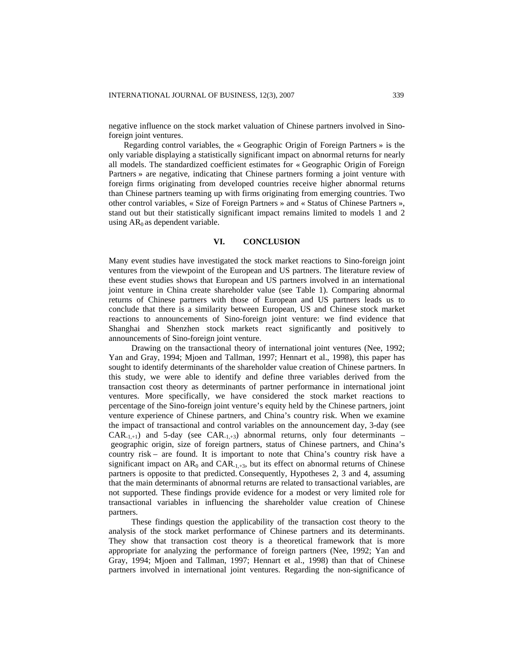negative influence on the stock market valuation of Chinese partners involved in Sinoforeign joint ventures.

Regarding control variables, the « Geographic Origin of Foreign Partners » is the only variable displaying a statistically significant impact on abnormal returns for nearly all models. The standardized coefficient estimates for « Geographic Origin of Foreign Partners » are negative, indicating that Chinese partners forming a joint venture with foreign firms originating from developed countries receive higher abnormal returns than Chinese partners teaming up with firms originating from emerging countries. Two other control variables, « Size of Foreign Partners » and « Status of Chinese Partners », stand out but their statistically significant impact remains limited to models 1 and 2 using  $AR_0$  as dependent variable.

#### **VI. CONCLUSION**

Many event studies have investigated the stock market reactions to Sino-foreign joint ventures from the viewpoint of the European and US partners. The literature review of these event studies shows that European and US partners involved in an international joint venture in China create shareholder value (see Table 1). Comparing abnormal returns of Chinese partners with those of European and US partners leads us to conclude that there is a similarity between European, US and Chinese stock market reactions to announcements of Sino-foreign joint venture: we find evidence that Shanghai and Shenzhen stock markets react significantly and positively to announcements of Sino-foreign joint venture.

Drawing on the transactional theory of international joint ventures (Nee, 1992; Yan and Gray, 1994; Mjoen and Tallman, 1997; Hennart et al., 1998), this paper has sought to identify determinants of the shareholder value creation of Chinese partners. In this study, we were able to identify and define three variables derived from the transaction cost theory as determinants of partner performance in international joint ventures. More specifically, we have considered the stock market reactions to percentage of the Sino-foreign joint venture's equity held by the Chinese partners, joint venture experience of Chinese partners, and China's country risk. When we examine the impact of transactional and control variables on the announcement day, 3-day (see  $CAR_{-1,+1}$  and 5-day (see  $CAR_{-1,+3}$ ) abnormal returns, only four determinants – geographic origin, size of foreign partners, status of Chinese partners, and China's country risk – are found. It is important to note that China's country risk have a significant impact on  $AR_0$  and  $CAR_{1,1,3}$ , but its effect on abnormal returns of Chinese partners is opposite to that predicted. Consequently, Hypotheses 2, 3 and 4, assuming that the main determinants of abnormal returns are related to transactional variables, are not supported. These findings provide evidence for a modest or very limited role for transactional variables in influencing the shareholder value creation of Chinese partners.

These findings question the applicability of the transaction cost theory to the analysis of the stock market performance of Chinese partners and its determinants. They show that transaction cost theory is a theoretical framework that is more appropriate for analyzing the performance of foreign partners (Nee, 1992; Yan and Gray, 1994; Mjoen and Tallman, 1997; Hennart et al., 1998) than that of Chinese partners involved in international joint ventures. Regarding the non-significance of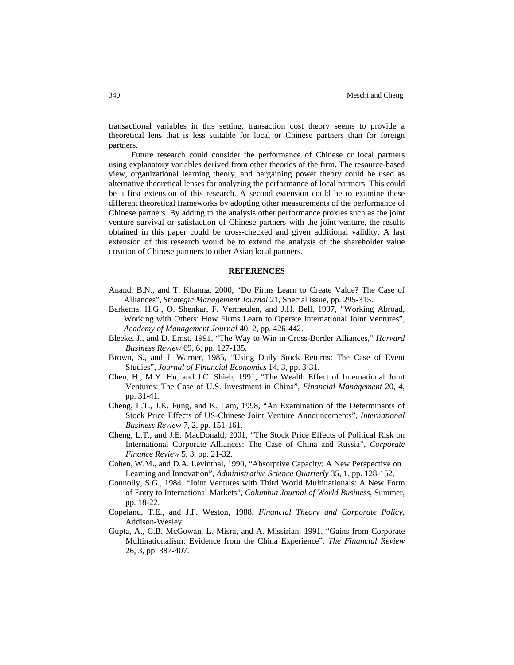transactional variables in this setting, transaction cost theory seems to provide a theoretical lens that is less suitable for local or Chinese partners than for foreign partners.

Future research could consider the performance of Chinese or local partners using explanatory variables derived from other theories of the firm. The resource-based view, organizational learning theory, and bargaining power theory could be used as alternative theoretical lenses for analyzing the performance of local partners. This could be a first extension of this research. A second extension could be to examine these different theoretical frameworks by adopting other measurements of the performance of Chinese partners. By adding to the analysis other performance proxies such as the joint venture survival or satisfaction of Chinese partners with the joint venture, the results obtained in this paper could be cross-checked and given additional validity. A last extension of this research would be to extend the analysis of the shareholder value creation of Chinese partners to other Asian local partners.

#### **REFERENCES**

- Anand, B.N., and T. Khanna, 2000, "Do Firms Learn to Create Value? The Case of Alliances", *Strategic Management Journal* 21, Special Issue, pp. 295-315.
- Barkema, H.G., O. Shenkar, F. Vermeulen, and J.H. Bell, 1997, "Working Abroad, Working with Others: How Firms Learn to Operate International Joint Ventures", *Academy of Management Journal* 40, 2, pp. 426-442.
- Bleeke, J., and D. Ernst, 1991, "The Way to Win in Cross-Border Alliances," *Harvard Business Review* 69, 6, pp. 127-135.
- Brown, S., and J. Warner, 1985, "Using Daily Stock Returns: The Case of Event Studies", *Journal of Financial Economics* 14, 3, pp. 3-31.
- Chen, H., M.Y. Hu, and J.C. Shieh, 1991, "The Wealth Effect of International Joint Ventures: The Case of U.S. Investment in China", *Financial Management* 20, 4, pp. 31-41.
- Cheng, L.T., J.K. Fung, and K. Lam, 1998, "An Examination of the Determinants of Stock Price Effects of US-Chinese Joint Venture Announcements", *International Business Review* 7, 2, pp. 151-161.
- Cheng, L.T., and J.E. MacDonald, 2001, "The Stock Price Effects of Political Risk on International Corporate Alliances: The Case of China and Russia", *Corporate Finance Review* 5, 3, pp. 21-32.
- Cohen, W.M., and D.A. Levinthal, 1990, "Absorptive Capacity: A New Perspective on Learning and Innovation", *Administrative Science Quarterly* 35, 1, pp. 128-152.
- Connolly, S.G., 1984. "Joint Ventures with Third World Multinationals: A New Form of Entry to International Markets", *Columbia Journal of World Business*, Summer, pp. 18-22.
- Copeland, T.E., and J.F. Weston, 1988, *Financial Theory and Corporate Policy*, Addison-Wesley.
- Gupta, A., C.B. McGowan, L. Misra, and A. Missirian, 1991, "Gains from Corporate Multinationalism: Evidence from the China Experience", *The Financial Review* 26, 3, pp. 387-407.